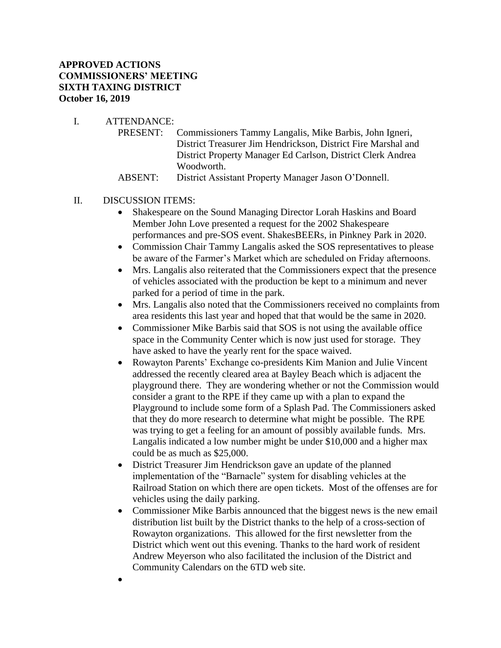# **APPROVED ACTIONS COMMISSIONERS' MEETING SIXTH TAXING DISTRICT October 16, 2019**

- I. ATTENDANCE:
	- PRESENT: Commissioners Tammy Langalis, Mike Barbis, John Igneri, District Treasurer Jim Hendrickson, District Fire Marshal and District Property Manager Ed Carlson, District Clerk Andrea Woodworth.
	- ABSENT: District Assistant Property Manager Jason O'Donnell.

#### II. DISCUSSION ITEMS:

- Shakespeare on the Sound Managing Director Lorah Haskins and Board Member John Love presented a request for the 2002 Shakespeare performances and pre-SOS event. ShakesBEERs, in Pinkney Park in 2020.
- Commission Chair Tammy Langalis asked the SOS representatives to please be aware of the Farmer's Market which are scheduled on Friday afternoons.
- Mrs. Langalis also reiterated that the Commissioners expect that the presence of vehicles associated with the production be kept to a minimum and never parked for a period of time in the park.
- Mrs. Langalis also noted that the Commissioners received no complaints from area residents this last year and hoped that that would be the same in 2020.
- Commissioner Mike Barbis said that SOS is not using the available office space in the Community Center which is now just used for storage. They have asked to have the yearly rent for the space waived.
- Rowayton Parents' Exchange co-presidents Kim Manion and Julie Vincent addressed the recently cleared area at Bayley Beach which is adjacent the playground there. They are wondering whether or not the Commission would consider a grant to the RPE if they came up with a plan to expand the Playground to include some form of a Splash Pad. The Commissioners asked that they do more research to determine what might be possible. The RPE was trying to get a feeling for an amount of possibly available funds. Mrs. Langalis indicated a low number might be under \$10,000 and a higher max could be as much as \$25,000.
- District Treasurer Jim Hendrickson gave an update of the planned implementation of the "Barnacle" system for disabling vehicles at the Railroad Station on which there are open tickets. Most of the offenses are for vehicles using the daily parking.
- Commissioner Mike Barbis announced that the biggest news is the new email distribution list built by the District thanks to the help of a cross-section of Rowayton organizations. This allowed for the first newsletter from the District which went out this evening. Thanks to the hard work of resident Andrew Meyerson who also facilitated the inclusion of the District and Community Calendars on the 6TD web site.
- •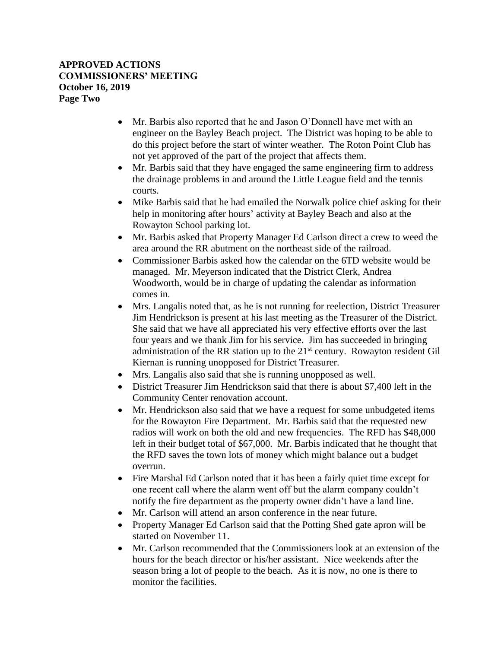## **APPROVED ACTIONS COMMISSIONERS' MEETING October 16, 2019 Page Two**

- Mr. Barbis also reported that he and Jason O'Donnell have met with an engineer on the Bayley Beach project. The District was hoping to be able to do this project before the start of winter weather. The Roton Point Club has not yet approved of the part of the project that affects them.
- Mr. Barbis said that they have engaged the same engineering firm to address the drainage problems in and around the Little League field and the tennis courts.
- Mike Barbis said that he had emailed the Norwalk police chief asking for their help in monitoring after hours' activity at Bayley Beach and also at the Rowayton School parking lot.
- Mr. Barbis asked that Property Manager Ed Carlson direct a crew to weed the area around the RR abutment on the northeast side of the railroad.
- Commissioner Barbis asked how the calendar on the 6TD website would be managed. Mr. Meyerson indicated that the District Clerk, Andrea Woodworth, would be in charge of updating the calendar as information comes in.
- Mrs. Langalis noted that, as he is not running for reelection, District Treasurer Jim Hendrickson is present at his last meeting as the Treasurer of the District. She said that we have all appreciated his very effective efforts over the last four years and we thank Jim for his service. Jim has succeeded in bringing administration of the RR station up to the  $21<sup>st</sup>$  century. Rowayton resident Gil Kiernan is running unopposed for District Treasurer.
- Mrs. Langalis also said that she is running unopposed as well.
- District Treasurer Jim Hendrickson said that there is about \$7,400 left in the Community Center renovation account.
- Mr. Hendrickson also said that we have a request for some unbudgeted items for the Rowayton Fire Department. Mr. Barbis said that the requested new radios will work on both the old and new frequencies. The RFD has \$48,000 left in their budget total of \$67,000. Mr. Barbis indicated that he thought that the RFD saves the town lots of money which might balance out a budget overrun.
- Fire Marshal Ed Carlson noted that it has been a fairly quiet time except for one recent call where the alarm went off but the alarm company couldn't notify the fire department as the property owner didn't have a land line.
- Mr. Carlson will attend an arson conference in the near future.
- Property Manager Ed Carlson said that the Potting Shed gate apron will be started on November 11.
- Mr. Carlson recommended that the Commissioners look at an extension of the hours for the beach director or his/her assistant. Nice weekends after the season bring a lot of people to the beach. As it is now, no one is there to monitor the facilities.